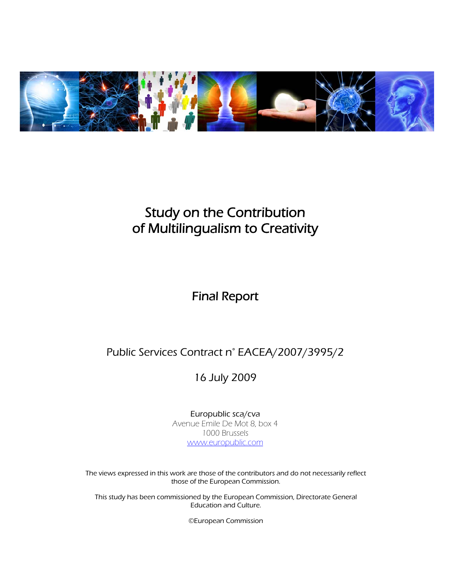

# Study on the Contribution of Multilingualism to Creativity

# Final Report

# Public Services Contract n° EACEA/2007/3995/2

16 July 2009

Europublic sca/cva Avenue Emile De Mot 8, box 4 1000 Brussels www.europublic.com

The views expressed in this work are those of the contributors and do not necessarily reflect those of the European Commission.

This study has been commissioned by the European Commission, Directorate General Education and Culture.

©European Commission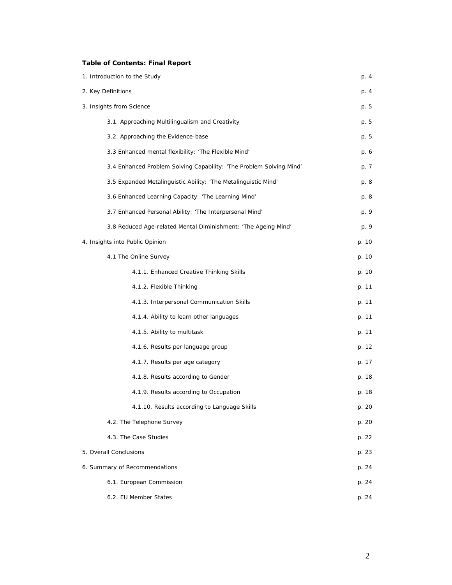# **Table of Contents: Final Report**

| 1. Introduction to the Study                                        |       |  |  |  |  |
|---------------------------------------------------------------------|-------|--|--|--|--|
| 2. Key Definitions                                                  |       |  |  |  |  |
| 3. Insights from Science                                            | p. 5  |  |  |  |  |
| 3.1. Approaching Multilingualism and Creativity                     | p. 5  |  |  |  |  |
| 3.2. Approaching the Evidence-base                                  | p. 5  |  |  |  |  |
| 3.3 Enhanced mental flexibility: 'The Flexible Mind'                | p. 6  |  |  |  |  |
| 3.4 Enhanced Problem Solving Capability: 'The Problem Solving Mind' | p. 7  |  |  |  |  |
| 3.5 Expanded Metalinguistic Ability: 'The Metalinguistic Mind'      | p. 8  |  |  |  |  |
| 3.6 Enhanced Learning Capacity: 'The Learning Mind'                 | p. 8  |  |  |  |  |
| 3.7 Enhanced Personal Ability: 'The Interpersonal Mind'             | p. 9  |  |  |  |  |
| 3.8 Reduced Age-related Mental Diminishment: 'The Ageing Mind'      | p. 9  |  |  |  |  |
| 4. Insights into Public Opinion                                     | p. 10 |  |  |  |  |
| 4.1 The Online Survey                                               | p. 10 |  |  |  |  |
| 4.1.1. Enhanced Creative Thinking Skills                            | p. 10 |  |  |  |  |
| 4.1.2. Flexible Thinking                                            | p. 11 |  |  |  |  |
| 4.1.3. Interpersonal Communication Skills                           | p. 11 |  |  |  |  |
| 4.1.4. Ability to learn other languages                             | p. 11 |  |  |  |  |
| 4.1.5. Ability to multitask                                         | p. 11 |  |  |  |  |
| 4.1.6. Results per language group                                   | p. 12 |  |  |  |  |
| 4.1.7. Results per age category                                     | p. 17 |  |  |  |  |
| 4.1.8. Results according to Gender                                  | p. 18 |  |  |  |  |
| 4.1.9. Results according to Occupation                              | p. 18 |  |  |  |  |
| 4.1.10. Results according to Language Skills                        | p. 20 |  |  |  |  |
| 4.2. The Telephone Survey                                           | p. 20 |  |  |  |  |
| 4.3. The Case Studies                                               | p. 22 |  |  |  |  |
| 5. Overall Conclusions                                              |       |  |  |  |  |
| 6. Summary of Recommendations                                       | p. 24 |  |  |  |  |
| 6.1. European Commission                                            |       |  |  |  |  |
| 6.2. EU Member States                                               | p. 24 |  |  |  |  |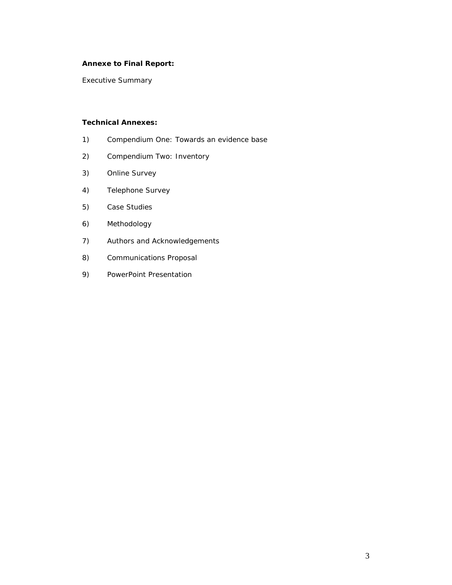# **Annexe to Final Report:**

Executive Summary

# **Technical Annexes:**

- 1) Compendium One: Towards an evidence base
- 2) Compendium Two: Inventory
- 3) Online Survey
- 4) Telephone Survey
- 5) Case Studies
- 6) Methodology
- 7) Authors and Acknowledgements
- 8) Communications Proposal
- 9) PowerPoint Presentation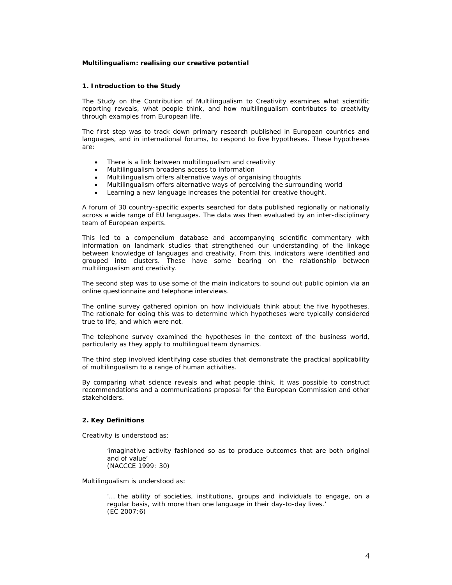#### **Multilingualism: realising our creative potential**

#### **1. Introduction to the Study**

The *Study on the Contribution of Multilingualism to Creativity* examines what scientific reporting reveals, what people think, and how multilingualism contributes to creativity through examples from European life.

The first step was to track down primary research published in European countries and languages, and in international forums, to respond to five hypotheses. These hypotheses are:

- There is a link between multilingualism and creativity
- Multilingualism broadens access to information
- Multilingualism offers alternative ways of organising thoughts
- Multilingualism offers alternative ways of perceiving the surrounding world
- Learning a new language increases the potential for creative thought.

A forum of 30 country-specific experts searched for data published regionally or nationally across a wide range of EU languages. The data was then evaluated by an inter-disciplinary team of European experts.

This led to a compendium database and accompanying scientific commentary with information on landmark studies that strengthened our understanding of the linkage between knowledge of languages and creativity. From this, indicators were identified and grouped into clusters. These have some bearing on the relationship between multilingualism and creativity.

The second step was to use some of the main indicators to sound out public opinion via an online questionnaire and telephone interviews.

The online survey gathered opinion on how individuals think about the five hypotheses. The rationale for doing this was to determine which hypotheses were typically considered true to life, and which were not.

The telephone survey examined the hypotheses in the context of the business world, particularly as they apply to multilingual team dynamics.

The third step involved identifying case studies that demonstrate the practical applicability of multilingualism to a range of human activities.

By comparing what science reveals and what people think, it was possible to construct recommendations and a communications proposal for the European Commission and other stakeholders.

#### **2. Key Definitions**

*Creativity* is understood as:

'imaginative activity fashioned so as to produce outcomes that are both original and of value' (NACCCE 1999: 30)

*Multilingualism* is understood as:

'… the ability of societies, institutions, groups and individuals to engage, on a regular basis, with more than one language in their day-to-day lives.' (EC 2007:6)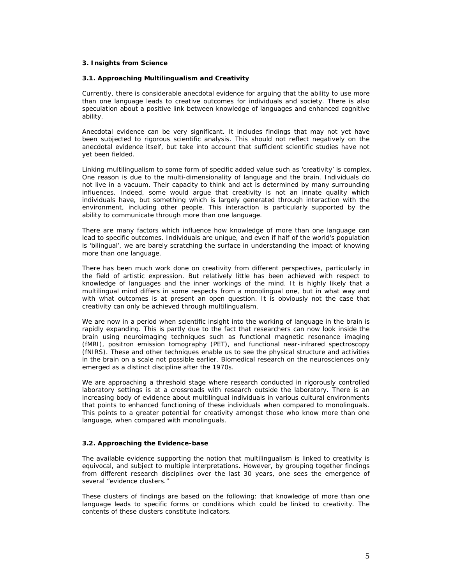# **3. Insights from Science**

#### *3.1. Approaching Multilingualism and Creativity*

Currently, there is considerable anecdotal evidence for arguing that the ability to use more than one language leads to creative outcomes for individuals and society. There is also speculation about a positive link between knowledge of languages and enhanced cognitive ability.

Anecdotal evidence can be very significant. It includes findings that may not yet have been subjected to rigorous scientific analysis. This should not reflect negatively on the anecdotal evidence itself, but take into account that sufficient scientific studies have not yet been fielded.

Linking multilingualism to some form of specific added value such as 'creativity' is complex. One reason is due to the multi-dimensionality of language and the brain. Individuals do not live in a vacuum. Their capacity to think and act is determined by many surrounding influences. Indeed, some would argue that creativity is not an innate quality which individuals have, but something which is largely generated through interaction with the environment, including other people. This interaction is particularly supported by the ability to communicate through more than one language.

There are many factors which influence how knowledge of more than one language can lead to specific outcomes. Individuals are unique, and even if half of the world's population is 'bilingual', we are barely scratching the surface in understanding the impact of knowing more than one language.

There has been much work done on creativity from different perspectives, particularly in the field of artistic expression. But relatively little has been achieved with respect to knowledge of languages and the inner workings of the mind. It is highly likely that a multilingual mind differs in some respects from a monolingual one, but in what way and with what outcomes is at present an open question. It is obviously not the case that creativity can only be achieved through multilingualism.

We are now in a period when scientific insight into the working of language in the brain is rapidly expanding. This is partly due to the fact that researchers can now look inside the brain using neuroimaging techniques such as functional magnetic resonance imaging (fMRI), positron emission tomography (PET), and functional near-infrared spectroscopy (fNIRS). These and other techniques enable us to see the physical structure and activities in the brain on a scale not possible earlier. Biomedical research on the neurosciences only emerged as a distinct discipline after the 1970s.

We are approaching a threshold stage where research conducted in rigorously controlled laboratory settings is at a crossroads with research outside the laboratory. There is an increasing body of evidence about multilingual individuals in various cultural environments that points to enhanced functioning of these individuals when compared to monolinguals. This points to a greater *potential* for creativity amongst those who know more than one language, when compared with monolinguals.

# *3.2. Approaching the Evidence-base*

The available evidence supporting the notion that multilingualism is linked to creativity is equivocal, and subject to multiple interpretations. However, by grouping together findings from different research disciplines over the last 30 years, one sees the emergence of several "evidence clusters."

These clusters of findings are based on the following: that knowledge of more than one language leads to specific forms or conditions which could be linked to creativity. The contents of these clusters constitute indicators.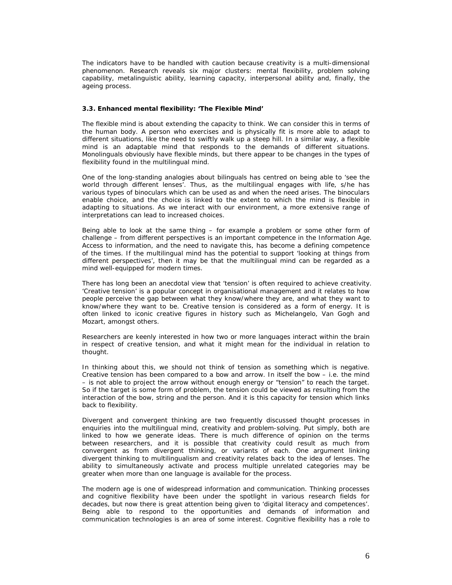The indicators have to be handled with caution because creativity is a multi-dimensional phenomenon. Research reveals six major clusters: mental flexibility, problem solving capability, metalinguistic ability, learning capacity, interpersonal ability and, finally, the ageing process.

#### **3.3. Enhanced mental flexibility: 'The Flexible Mind'**

The *flexible mind* is about extending the capacity to think. We can consider this in terms of the human body. A person who exercises and is physically fit is more able to adapt to different situations, like the need to swiftly walk up a steep hill. In a similar way, a flexible mind is an adaptable mind that responds to the demands of different situations. Monolinguals obviously have flexible minds, but there appear to be changes in the types of flexibility found in the multilingual mind.

One of the long-standing analogies about bilinguals has centred on being able to 'see the world through different lenses'. Thus, as the multilingual engages with life, s/he has various types of binoculars which can be used as and when the need arises. The binoculars enable choice, and the choice is linked to the extent to which the mind is flexible in adapting to situations. As we interact with our environment, a more extensive range of interpretations can lead to increased choices.

Being able to look at the same thing – for example a problem or some other form of challenge – from different perspectives is an important competence in the Information Age. Access to information, and the need to navigate this, has become a defining competence of the times. If the multilingual mind has the potential to support 'looking at things from different perspectives', then it may be that the multilingual mind can be regarded as a mind well-equipped for modern times.

There has long been an anecdotal view that 'tension' is often required to achieve creativity. 'Creative tension' is a popular concept in organisational management and it relates to how people perceive the gap between what they know/where they are, and what they want to know/where they want to be. Creative tension is considered as a form of energy. It is often linked to iconic creative figures in history such as Michelangelo, Van Gogh and Mozart, amongst others.

Researchers are keenly interested in how two or more languages interact within the brain in respect of creative tension, and what it might mean for the individual in relation to thought.

In thinking about this, we should not think of tension as something which is negative. Creative tension has been compared to a bow and arrow. In itself the bow – i.e. the mind – is not able to project the arrow without enough energy or "tension" to reach the target. So if the target is some form of problem, the tension could be viewed as resulting from the interaction of the bow, string and the person. And it is this capacity for tension which links back to flexibility.

Divergent and convergent thinking are two frequently discussed thought processes in enquiries into the multilingual mind, creativity and problem-solving. Put simply, both are linked to how we generate ideas. There is much difference of opinion on the terms between researchers, and it is possible that creativity could result as much from convergent as from divergent thinking, or variants of each. One argument linking divergent thinking to multilingualism and creativity relates back to the idea of lenses. The ability to simultaneously activate and process multiple unrelated categories may be greater when more than one language is available for the process.

The modern age is one of widespread information and communication. Thinking processes and cognitive flexibility have been under the spotlight in various research fields for decades, but now there is great attention being given to 'digital literacy and competences'. Being able to respond to the opportunities and demands of information and communication technologies is an area of some interest. Cognitive flexibility has a role to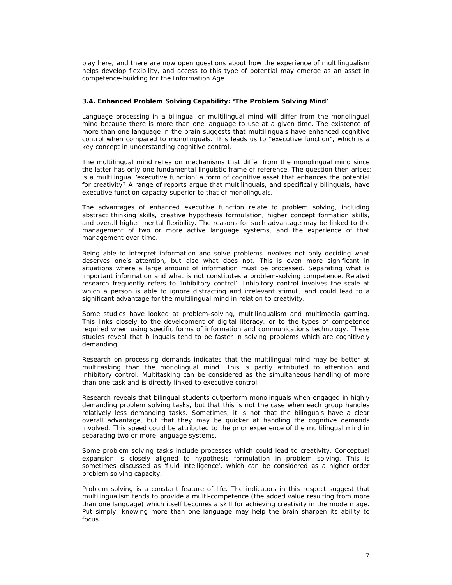play here, and there are now open questions about how the experience of multilingualism helps develop flexibility, and access to this type of potential may emerge as an asset in competence-building for the Information Age.

# **3.4. Enhanced Problem Solving Capability: 'The Problem Solving Mind'**

Language processing in a bilingual or multilingual mind will differ from the monolingual mind because there is more than one language to use at a given time. The existence of more than one language in the brain suggests that multilinguals have enhanced cognitive control when compared to monolinguals. This leads us to "*executive function",* which is a key concept in understanding cognitive control.

The multilingual mind relies on mechanisms that differ from the monolingual mind since the latter has only one fundamental linguistic frame of reference. The question then arises: is a multilingual 'executive function' a form of cognitive asset that enhances the potential for creativity? A range of reports argue that multilinguals, and specifically bilinguals, have executive function capacity superior to that of monolinguals.

The advantages of enhanced executive function relate to problem solving, including abstract thinking skills, creative hypothesis formulation, higher concept formation skills, and overall higher mental flexibility. The reasons for such advantage may be linked to the management of two or more active language systems, and the experience of that management over time.

Being able to interpret information and solve problems involves not only deciding what deserves one's attention, but also what does not. This is even more significant in situations where a large amount of information must be processed. Separating what is important information and what is not constitutes a problem-solving competence. Related research frequently refers to 'inhibitory control'. Inhibitory control involves the scale at which a person is able to ignore distracting and irrelevant stimuli, and could lead to a significant advantage for the multilingual mind in relation to creativity.

Some studies have looked at problem-solving, multilingualism and multimedia gaming. This links closely to the development of digital literacy, or to the types of competence required when using specific forms of information and communications technology. These studies reveal that bilinguals tend to be faster in solving problems which are cognitively demanding.

Research on processing demands indicates that the multilingual mind may be better at multitasking than the monolingual mind. This is partly attributed to attention and inhibitory control. Multitasking can be considered as the simultaneous handling of more than one task and is directly linked to executive control.

Research reveals that bilingual students outperform monolinguals when engaged in highly demanding problem solving tasks, but that this is not the case when each group handles relatively less demanding tasks. Sometimes, it is not that the bilinguals have a clear overall advantage, but that they may be quicker at handling the cognitive demands involved. This speed could be attributed to the prior experience of the multilingual mind in separating two or more language systems.

Some problem solving tasks include processes which could lead to creativity. Conceptual expansion is closely aligned to hypothesis formulation in problem solving. This is sometimes discussed as 'fluid intelligence', which can be considered as a higher order problem solving capacity.

Problem solving is a constant feature of life. The indicators in this respect suggest that multilingualism tends to provide a multi-competence (the added value resulting from more than one language) which itself becomes a skill for achieving creativity in the modern age. Put simply, knowing more than one language may help the brain sharpen its ability to focus.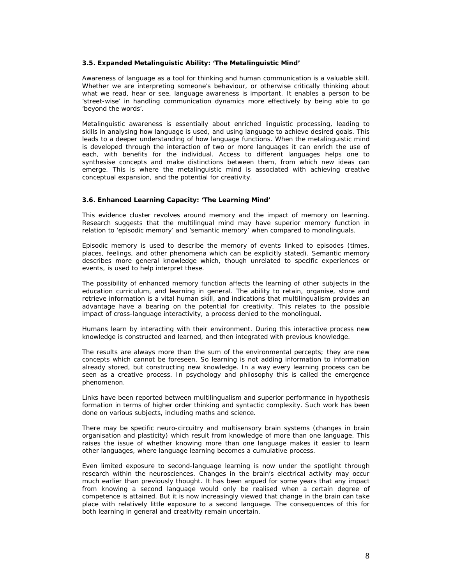#### **3.5. Expanded Metalinguistic Ability: 'The Metalinguistic Mind'**

Awareness of language as a tool for thinking and human communication is a valuable skill. Whether we are interpreting someone's behaviour, or otherwise critically thinking about what we read, hear or see, language awareness is important. It enables a person to be 'street-wise' in handling communication dynamics more effectively by being able to go 'beyond the words'.

Metalinguistic awareness is essentially about enriched linguistic processing, leading to skills in analysing how language is used, and using language to achieve desired goals. This leads to a deeper understanding of how language functions. When the metalinguistic mind is developed through the interaction of two or more languages it can enrich the use of each, with benefits for the individual. Access to different languages helps one to synthesise concepts and make distinctions between them, from which new ideas can emerge. This is where the metalinguistic mind is associated with achieving creative conceptual expansion, and the potential for creativity.

# **3.6. Enhanced Learning Capacity: 'The Learning Mind'**

This evidence cluster revolves around memory and the impact of memory on learning. Research suggests that the multilingual mind may have superior memory function in relation to 'episodic memory' and 'semantic memory' when compared to monolinguals.

Episodic memory is used to describe the memory of events linked to episodes (times, places, feelings, and other phenomena which can be explicitly stated). Semantic memory describes more general knowledge which, though unrelated to specific experiences or events, is used to help interpret these.

The possibility of enhanced memory function affects the learning of other subjects in the education curriculum, and learning in general. The ability to retain, organise, store and retrieve information is a vital human skill, and indications that multilingualism provides an advantage have a bearing on the potential for creativity. This relates to the possible impact of cross-language interactivity, a process denied to the monolingual.

Humans learn by interacting with their environment. During this interactive process new knowledge is constructed and learned, and then integrated with previous knowledge.

The results are always more than the sum of the environmental percepts; they are new concepts which cannot be foreseen. So learning is not adding information to information already stored, but constructing new knowledge. In a way every learning process can be seen as a creative process. In psychology and philosophy this is called the emergence phenomenon.

Links have been reported between multilingualism and superior performance in hypothesis formation in terms of higher order thinking and syntactic complexity. Such work has been done on various subjects, including maths and science.

There may be specific neuro-circuitry and multisensory brain systems (changes in brain organisation and plasticity) which result from knowledge of more than one language. This raises the issue of whether knowing more than one language makes it easier to learn other languages, where language learning becomes a cumulative process.

Even limited exposure to second-language learning is now under the spotlight through research within the neurosciences. Changes in the brain's electrical activity may occur much earlier than previously thought. It has been argued for some years that any impact from knowing a second language would only be realised when a certain degree of competence is attained. But it is now increasingly viewed that change in the brain can take place with relatively little exposure to a second language. The consequences of this for both learning in general and creativity remain uncertain.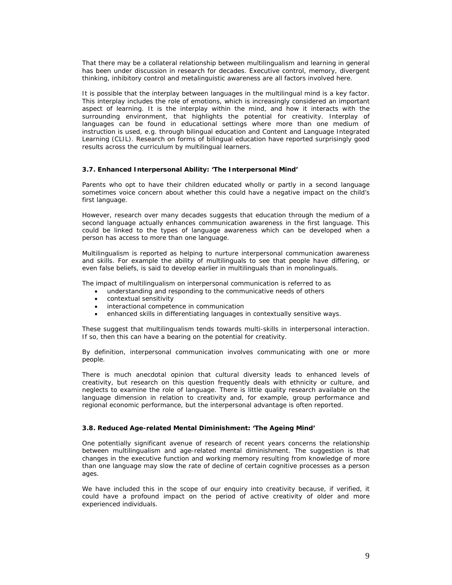That there may be a collateral relationship between multilingualism and learning in general has been under discussion in research for decades. Executive control, memory, divergent thinking, inhibitory control and metalinguistic awareness are all factors involved here.

It is possible that the interplay between languages in the multilingual mind is a key factor. This interplay includes the role of emotions, which is increasingly considered an important aspect of learning. It is the interplay within the mind, and how it interacts with the surrounding environment, that highlights the potential for creativity. Interplay of languages can be found in educational settings where more than one medium of instruction is used, e.g. through bilingual education and Content and Language Integrated Learning (CLIL). Research on forms of bilingual education have reported surprisingly good results across the curriculum by multilingual learners.

#### **3.7. Enhanced Interpersonal Ability: 'The Interpersonal Mind'**

Parents who opt to have their children educated wholly or partly in a second language sometimes voice concern about whether this could have a negative impact on the child's first language.

However, research over many decades suggests that education through the medium of a second language actually enhances communication awareness in the first language. This could be linked to the types of language awareness which can be developed when a person has access to more than one language.

Multilingualism is reported as helping to nurture interpersonal communication awareness and skills. For example the ability of multilinguals to see that people have differing, or even false beliefs, is said to develop earlier in multilinguals than in monolinguals.

The impact of multilingualism on interpersonal communication is referred to as

- understanding and responding to the communicative needs of others
- contextual sensitivity
- interactional competence in communication
- enhanced skills in differentiating languages in contextually sensitive ways.

These suggest that multilingualism tends towards multi-skills in interpersonal interaction. If so, then this can have a bearing on the potential for creativity.

By definition, interpersonal communication involves communicating with one or more people.

There is much anecdotal opinion that cultural diversity leads to enhanced levels of creativity, but research on this question frequently deals with ethnicity or culture, and neglects to examine the role of language. There is little quality research available on the language dimension in relation to creativity and, for example, group performance and regional economic performance, but the interpersonal advantage is often reported.

#### **3.8. Reduced Age-related Mental Diminishment: 'The Ageing Mind'**

One potentially significant avenue of research of recent years concerns the relationship between multilingualism and age-related mental diminishment. The suggestion is that changes in the executive function and working memory resulting from knowledge of more than one language may slow the rate of decline of certain cognitive processes as a person ages.

We have included this in the scope of our enquiry into creativity because, if verified, it could have a profound impact on the period of active creativity of older and more experienced individuals.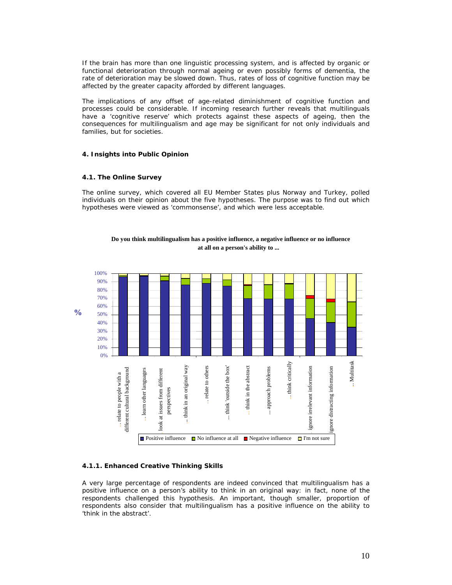If the brain has more than one linguistic processing system, and is affected by organic or functional deterioration through normal ageing or even possibly forms of dementia, the rate of deterioration may be slowed down. Thus, rates of loss of cognitive function may be affected by the greater capacity afforded by different languages.

The implications of any offset of age-related diminishment of cognitive function and processes could be considerable. If incoming research further reveals that multilinguals have a 'cognitive reserve' which protects against these aspects of ageing, then the consequences for multilingualism and age may be significant for not only individuals and families, but for societies.

# **4. Insights into Public Opinion**

#### **4.1. The Online Survey**

The online survey, which covered all EU Member States plus Norway and Turkey, polled individuals on their opinion about the five hypotheses. The purpose was to find out which hypotheses were viewed as 'commonsense', and which were less acceptable.





# **4.1.1. Enhanced Creative Thinking Skills**

A very large percentage of respondents are indeed convinced that multilingualism has a positive influence on a person's ability to think in an original way: in fact, none of the respondents challenged this hypothesis. An important, though smaller, proportion of respondents also consider that multilingualism has a positive influence on the ability to 'think in the abstract'.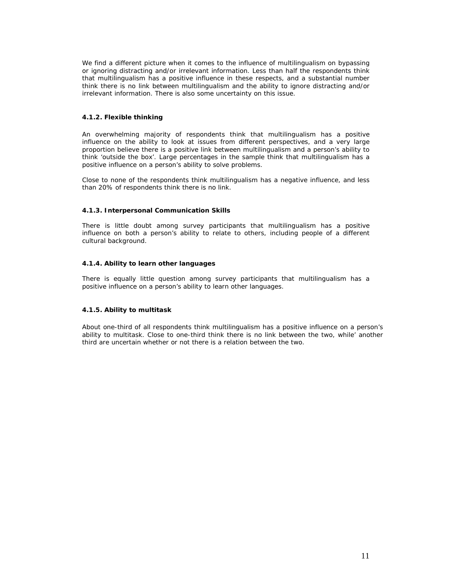We find a different picture when it comes to the influence of multilingualism on bypassing or ignoring distracting and/or irrelevant information. Less than half the respondents think that multilingualism has a positive influence in these respects, and a substantial number think there is no link between multilingualism and the ability to ignore distracting and/or irrelevant information. There is also some uncertainty on this issue.

# **4.1.2. Flexible thinking**

An overwhelming majority of respondents think that multilingualism has a positive influence on the ability to look at issues from different perspectives, and a very large proportion believe there is a positive link between multilingualism and a person's ability to think 'outside the box'. Large percentages in the sample think that multilingualism has a positive influence on a person's ability to solve problems.

Close to none of the respondents think multilingualism has a negative influence, and less than 20% of respondents think there is no link.

# **4.1.3. Interpersonal Communication Skills**

There is little doubt among survey participants that multilingualism has a positive influence on both a person's ability to relate to others, including people of a different cultural background.

# **4.1.4. Ability to learn other languages**

There is equally little question among survey participants that multilingualism has a positive influence on a person's ability to learn other languages.

# **4.1.5. Ability to multitask**

About one-third of all respondents think multilingualism has a positive influence on a person's ability to multitask. Close to one-third think there is no link between the two, while' another third are uncertain whether or not there is a relation between the two.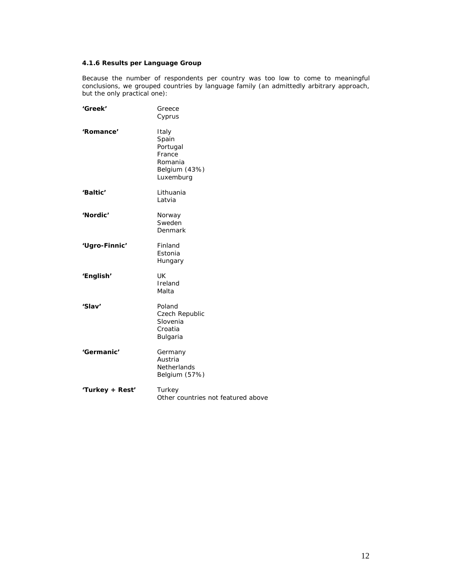# **4.1.6 Results per Language Group**

Because the number of respondents per country was too low to come to meaningful conclusions, we grouped countries by language family (an admittedly arbitrary approach, but the only practical one):

| 'Greek'         | Greece<br>Cyprus                                                              |
|-----------------|-------------------------------------------------------------------------------|
| 'Romance'       | Italy<br>Spain<br>Portugal<br>France<br>Romania<br>Belgium (43%)<br>Luxemburg |
| 'Baltic'        | Lithuania<br>Latvia                                                           |
| 'Nordic'        | Norway<br>Sweden<br>Denmark                                                   |
| 'Ugro-Finnic'   | Finland<br>Estonia<br>Hungary                                                 |
| 'English'       | UK.<br>Ireland<br>Malta                                                       |
| 'Slav'          | Poland<br>Czech Republic<br>Slovenia<br>Croatia<br>Bulgaria                   |
| 'Germanic'      | Germany<br>Austria<br><b>Netherlands</b><br>Belgium (57%)                     |
| 'Turkey + Rest' | Turkey<br>Other countries not featured above                                  |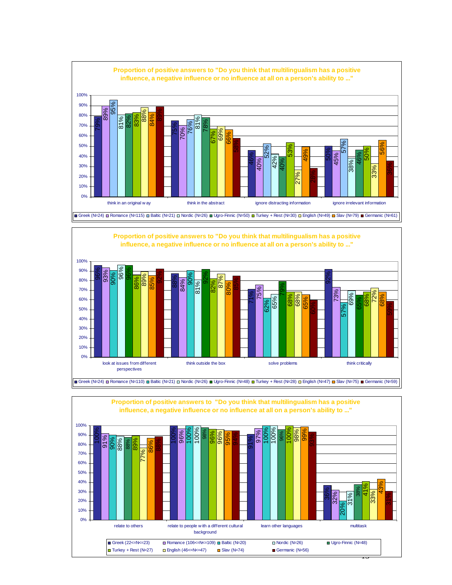



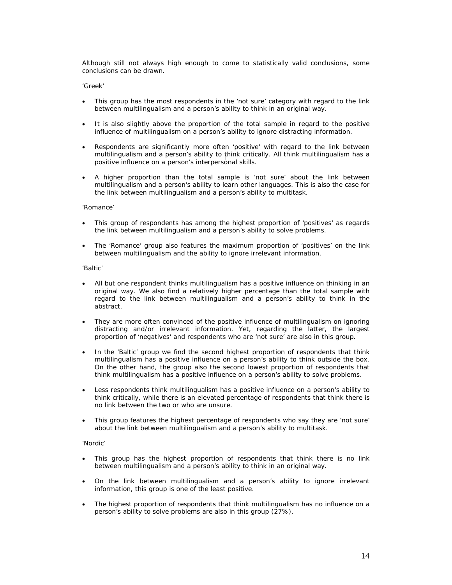Although still not always high enough to come to statistically valid conclusions, some conclusions can be drawn.

#### *'Greek'*

- This group has the most respondents in the 'not sure' category with regard to the link between multilingualism and a person's ability to think in an original way.
- It is also slightly above the proportion of the total sample in regard to the positive influence of multilingualism on a person's ability to ignore distracting information.
- Respondents are significantly more often 'positive' with regard to the link between multilingualism and a person's ability to think critically. All think multilingualism has a positive influence on a person's interpersonal skills.
- A higher proportion than the total sample is 'not sure' about the link between multilingualism and a person's ability to learn other languages. This is also the case for the link between multilingualism and a person's ability to multitask.

#### *'Romance'*

- This group of respondents has among the highest proportion of 'positives' as regards the link between multilingualism and a person's ability to solve problems.
- The 'Romance' group also features the maximum proportion of 'positives' on the link between multilingualism and the ability to ignore irrelevant information.

#### *'Baltic'*

- All but one respondent thinks multilingualism has a positive influence on thinking in an original way. We also find a relatively higher percentage than the total sample with regard to the link between multilingualism and a person's ability to think in the abstract.
- They are more often convinced of the positive influence of multilingualism on ignoring distracting and/or irrelevant information. Yet, regarding the latter, the largest proportion of 'negatives' and respondents who are 'not sure' are also in this group.
- In the 'Baltic' group we find the second highest proportion of respondents that think multilingualism has a positive influence on a person's ability to think outside the box. On the other hand, the group also the second lowest proportion of respondents that think multilingualism has a positive influence on a person's ability to solve problems.
- Less respondents think multilingualism has a positive influence on a person's ability to think critically, while there is an elevated percentage of respondents that think there is no link between the two or who are unsure.
- This group features the highest percentage of respondents who say they are 'not sure' about the link between multilingualism and a person's ability to multitask.

#### *'Nordic'*

- This group has the highest proportion of respondents that think there is no link between multilingualism and a person's ability to think in an original way.
- On the link between multilingualism and a person's ability to ignore irrelevant information, this group is one of the least positive.
- The highest proportion of respondents that think multilingualism has no influence on a person's ability to solve problems are also in this group (27%).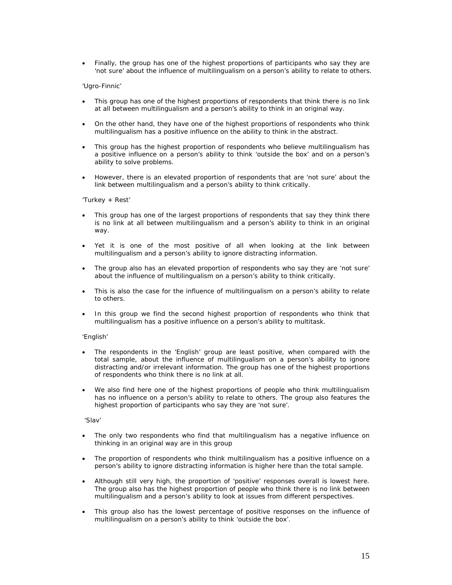• Finally, the group has one of the highest proportions of participants who say they are 'not sure' about the influence of multilingualism on a person's ability to relate to others.

# *'Ugro-Finnic'*

- This group has one of the highest proportions of respondents that think there is no link at all between multilingualism and a person's ability to think in an original way.
- On the other hand, they have one of the highest proportions of respondents who think multilingualism has a positive influence on the ability to think in the abstract.
- This group has the highest proportion of respondents who believe multilingualism has a positive influence on a person's ability to think 'outside the box' and on a person's ability to solve problems.
- However, there is an elevated proportion of respondents that are 'not sure' about the link between multilingualism and a person's ability to think critically.

#### *'Turkey + Rest'*

- This group has one of the largest proportions of respondents that say they think there is no link at all between multilingualism and a person's ability to think in an original way.
- Yet it is one of the most positive of all when looking at the link between multilingualism and a person's ability to ignore distracting information.
- The group also has an elevated proportion of respondents who say they are 'not sure' about the influence of multilingualism on a person's ability to think critically.
- This is also the case for the influence of multilingualism on a person's ability to relate to others.
- In this group we find the second highest proportion of respondents who think that multilingualism has a positive influence on a person's ability to multitask.

#### *'English'*

- The respondents in the 'English' group are least positive, when compared with the total sample, about the influence of multilingualism on a person's ability to ignore distracting and/or irrelevant information. The group has one of the highest proportions of respondents who think there is no link at all.
- We also find here one of the highest proportions of people who think multilingualism has no influence on a person's ability to relate to others. The group also features the highest proportion of participants who say they are 'not sure'.

#### *'Slav'*

- The only two respondents who find that multilingualism has a negative influence on thinking in an original way are in this group
- The proportion of respondents who think multilingualism has a positive influence on a person's ability to ignore distracting information is higher here than the total sample.
- Although still very high, the proportion of 'positive' responses overall is lowest here. The group also has the highest proportion of people who think there is no link between multilingualism and a person's ability to look at issues from different perspectives.
- This group also has the lowest percentage of positive responses on the influence of multilingualism on a person's ability to think 'outside the box'.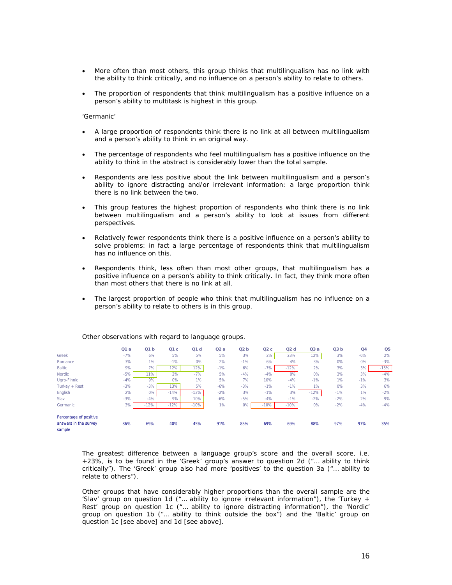- More often than most others, this group thinks that multilingualism has no link with the ability to think critically, and no influence on a person's ability to relate to others.
- The proportion of respondents that think multilingualism has a positive influence on a person's ability to multitask is highest in this group.

#### *'Germanic'*

- A large proportion of respondents think there is no link at all between multilingualism and a person's ability to think in an original way.
- The percentage of respondents who feel multilingualism has a positive influence on the ability to think in the abstract is considerably lower than the total sample.
- Respondents are less positive about the link between multilingualism and a person's ability to ignore distracting and/or irrelevant information: a large proportion think there is no link between the two.
- This group features the highest proportion of respondents who think there is no link between multilingualism and a person's ability to look at issues from different perspectives.
- Relatively fewer respondents think there is a positive influence on a person's ability to solve problems: in fact a large percentage of respondents think that multilingualism has no influence on this.
- Respondents think, less often than most other groups, that multilingualism has a positive influence on a person's ability to think critically. In fact, they think more often than most others that there is no link at all.
- The largest proportion of people who think that multilingualism has no influence on a person's ability to relate to others is in this group.

|                                                           | Q1a   | Q1 b   | Q1c    | Q1d    | Q2a   | Q2b   | Q2c    | Q2d    | Q3a    | Q3 b  | Q <sub>4</sub> | Q <sub>5</sub> |
|-----------------------------------------------------------|-------|--------|--------|--------|-------|-------|--------|--------|--------|-------|----------------|----------------|
| Greek                                                     | $-7%$ | 6%     | 5%     | 5%     | 5%    | 3%    | 2%     | 23%    | 12%    | 3%    | $-6%$          | 2%             |
| Romance                                                   | 3%    | $1\%$  | $-1%$  | 0%     | 2%    | $-1%$ | 6%     | 4%     | 3%     | 0%    | 0%             | $-3%$          |
| <b>Baltic</b>                                             | 9%    | 7%     | 12%    | 12%    | $-1%$ | 6%    | $-7%$  | $-12%$ | 2%     | 3%    | 3%             | $-15%$         |
| Nordic                                                    | $-5%$ | 11%    | 2%     | $-7%$  | 5%    | $-4%$ | $-4%$  | $0\%$  | 0%     | 3%    | 3%             | $-4%$          |
| Uaro-Finnic                                               | $-4%$ | 9%     | 0%     | 1%     | 5%    | 7%    | 10%    | $-4%$  | $-1%$  | 1%    | $-1%$          | 3%             |
| Turkey + Rest                                             | $-3%$ | $-3%$  | 13%    | 5%     | $-6%$ | $-3%$ | $-1%$  | $-1%$  | 1%     | 0%    | 3%             | 6%             |
| English                                                   | 2%    | 0%     | $-14%$ | $-13%$ | $-2%$ | 3%    | $-1%$  | 3%     | $-12%$ | $-1%$ | 1%             | $-2%$          |
| Slav                                                      | $-3%$ | $-4%$  | 9%     | 10%    | $-6%$ | $-5%$ | $-4%$  | $-1%$  | $-2%$  | $-2%$ | 2%             | 9%             |
| Germanic                                                  | 3%    | $-12%$ | $-12%$ | $-10%$ | 1%    | $0\%$ | $-10%$ | $-10%$ | 0%     | $-2%$ | $-4%$          | $-4%$          |
| Percentage of positive<br>answers in the survey<br>sample | 86%   | 69%    | 40%    | 45%    | 91%   | 85%   | 69%    | 69%    | 88%    | 97%   | 97%            | 35%            |

#### *Other observations with regard to language groups.*

The greatest difference between a language group's score and the overall score, i.e. +23%, is to be found in the 'Greek' group's answer to question 2d ("… ability to think critically"). The 'Greek' group also had more 'positives' to the question 3a ("… ability to relate to others").

Other groups that have considerably higher proportions than the overall sample are the 'Slav' group on question 1d ("… ability to ignore irrelevant information"), the 'Turkey + Rest' group on question 1c ("… ability to ignore distracting information"), the 'Nordic' group on question 1b ("… ability to think outside the box") and the 'Baltic' group on question 1c [see above] and 1d [see above].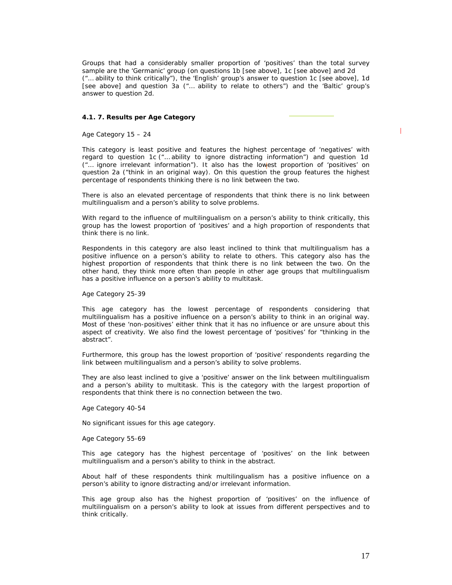Groups that had a considerably smaller proportion of 'positives' than the total survey sample are the 'Germanic' group (on questions 1b [see above], 1c [see above] and 2d ("… ability to think critically"), the 'English' group's answer to question 1c [see above], 1d [see above] and question 3a ("… ability to relate to others") and the 'Baltic' group's answer to question 2d.

#### **4.1. 7. Results per Age Category**

### *Age Category 15 – 24*

This category is least positive and features the highest percentage of 'negatives' with regard to question 1c ("… ability to ignore distracting information") and question 1d ("… ignore irrelevant information"). It also has the lowest proportion of 'positives' on question 2a ("think in an original way). On this question the group features the highest percentage of respondents thinking there is no link between the two.

There is also an elevated percentage of respondents that think there is no link between multilingualism and a person's ability to solve problems.

With regard to the influence of multilingualism on a person's ability to think critically, this group has the lowest proportion of 'positives' and a high proportion of respondents that think there is no link.

Respondents in this category are also least inclined to think that multilingualism has a positive influence on a person's ability to relate to others. This category also has the highest proportion of respondents that think there is no link between the two. On the other hand, they think more often than people in other age groups that multilingualism has a positive influence on a person's ability to multitask.

#### *Age Category 25-39*

This age category has the lowest percentage of respondents considering that multilingualism has a positive influence on a person's ability to think in an original way. Most of these 'non-positives' either think that it has no influence or are unsure about this aspect of creativity. We also find the lowest percentage of 'positives' for "thinking in the abstract".

Furthermore, this group has the lowest proportion of 'positive' respondents regarding the link between multilingualism and a person's ability to solve problems.

They are also least inclined to give a 'positive' answer on the link between multilingualism and a person's ability to multitask. This is the category with the largest proportion of respondents that think there is no connection between the two.

#### *Age Category 40-54*

No significant issues for this age category.

#### *Age Category 55-69*

This age category has the highest percentage of 'positives' on the link between multilingualism and a person's ability to think in the abstract.

About half of these respondents think multilingualism has a positive influence on a person's ability to ignore distracting and/or irrelevant information.

This age group also has the highest proportion of 'positives' on the influence of multilingualism on a person's ability to look at issues from different perspectives and to think critically.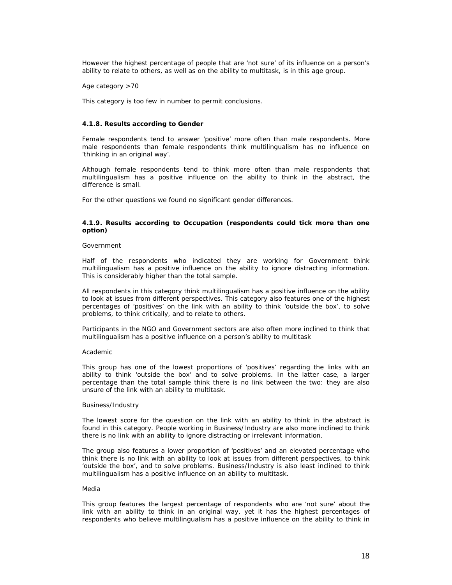However the highest percentage of people that are 'not sure' of its influence on a person's ability to relate to others, as well as on the ability to multitask, is in this age group.

*Age category >70* 

This category is too few in number to permit conclusions.

# **4.1.8. Results according to Gender**

Female respondents tend to answer 'positive' more often than male respondents. More male respondents than female respondents think multilingualism has no influence on 'thinking in an original way'.

Although female respondents tend to think more often than male respondents that multilingualism has a positive influence on the ability to think in the abstract, the difference is small.

For the other questions we found no significant gender differences.

# **4.1.9. Results according to Occupation (respondents could tick more than one option)**

#### *Government*

Half of the respondents who indicated they are working for Government think multilingualism has a positive influence on the ability to ignore distracting information. This is considerably higher than the total sample.

All respondents in this category think multilingualism has a positive influence on the ability to look at issues from different perspectives. This category also features one of the highest percentages of 'positives' on the link with an ability to think 'outside the box', to solve problems, to think critically, and to relate to others.

Participants in the NGO and Government sectors are also often more inclined to think that multilingualism has a positive influence on a person's ability to multitask

#### *Academic*

This group has one of the lowest proportions of 'positives' regarding the links with an ability to think 'outside the box' and to solve problems. In the latter case, a larger percentage than the total sample think there is no link between the two: they are also unsure of the link with an ability to multitask.

#### *Business/Industry*

The lowest score for the question on the link with an ability to think in the abstract is found in this category. People working in Business/Industry are also more inclined to think there is no link with an ability to ignore distracting or irrelevant information.

The group also features a lower proportion of 'positives' and an elevated percentage who think there is no link with an ability to look at issues from different perspectives, to think 'outside the box', and to solve problems. Business/Industry is also least inclined to think multilingualism has a positive influence on an ability to multitask.

#### *Media*

This group features the largest percentage of respondents who are 'not sure' about the link with an ability to think in an original way, yet it has the highest percentages of respondents who believe multilingualism has a positive influence on the ability to think in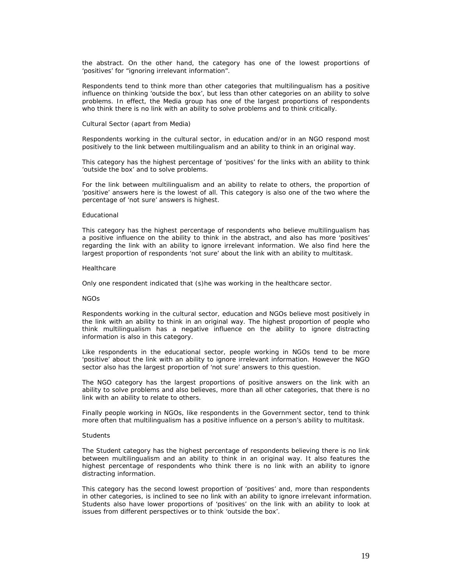the abstract. On the other hand, the category has one of the lowest proportions of 'positives' for "ignoring irrelevant information".

Respondents tend to think more than other categories that multilingualism has a positive influence on thinking 'outside the box', but less than other categories on an ability to solve problems. In effect, the Media group has one of the largest proportions of respondents who think there is no link with an ability to solve problems and to think critically.

#### *Cultural Sector (apart from Media)*

Respondents working in the cultural sector, in education and/or in an NGO respond most positively to the link between multilingualism and an ability to think in an original way.

This category has the highest percentage of 'positives' for the links with an ability to think 'outside the box' and to solve problems.

For the link between multilingualism and an ability to relate to others, the proportion of 'positive' answers here is the lowest of all. This category is also one of the two where the percentage of 'not sure' answers is highest.

#### *Educational*

This category has the highest percentage of respondents who believe multilingualism has a positive influence on the ability to think in the abstract, and also has more 'positives' regarding the link with an ability to ignore irrelevant information. We also find here the largest proportion of respondents 'not sure' about the link with an ability to multitask.

#### *Healthcare*

Only one respondent indicated that (s)he was working in the healthcare sector.

#### *NGOs*

Respondents working in the cultural sector, education and NGOs believe most positively in the link with an ability to think in an original way. The highest proportion of people who think multilingualism has a negative influence on the ability to ignore distracting information is also in this category.

Like respondents in the educational sector, people working in NGOs tend to be more 'positive' about the link with an ability to ignore irrelevant information. However the NGO sector also has the largest proportion of 'not sure' answers to this question.

The NGO category has the largest proportions of positive answers on the link with an ability to solve problems and also believes, more than all other categories, that there is no link with an ability to relate to others.

Finally people working in NGOs, like respondents in the Government sector, tend to think more often that multilingualism has a positive influence on a person's ability to multitask.

#### *Students*

The Student category has the highest percentage of respondents believing there is no link between multilingualism and an ability to think in an original way. It also features the highest percentage of respondents who think there is no link with an ability to ignore distracting information.

This category has the second lowest proportion of 'positives' and, more than respondents in other categories, is inclined to see no link with an ability to ignore irrelevant information. Students also have lower proportions of 'positives' on the link with an ability to look at issues from different perspectives or to think 'outside the box'.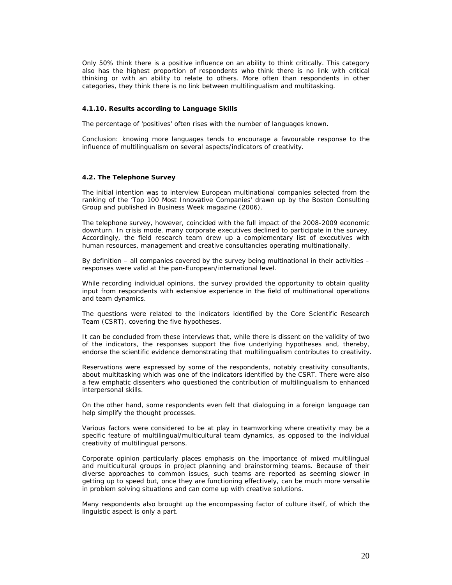Only 50% think there is a positive influence on an ability to think critically. This category also has the highest proportion of respondents who think there is no link with critical thinking or with an ability to relate to others. More often than respondents in other categories, they think there is no link between multilingualism and multitasking.

#### **4.1.10. Results according to Language Skills**

The percentage of 'positives' often rises with the number of languages known.

Conclusion: knowing more languages tends to encourage a favourable response to the influence of multilingualism on several aspects/indicators of creativity.

#### **4.2. The Telephone Survey**

The initial intention was to interview European multinational companies selected from the ranking of the 'Top 100 Most Innovative Companies' drawn up by the Boston Consulting Group and published in *Business Week* magazine (2006).

The telephone survey, however, coincided with the full impact of the 2008-2009 economic downturn. In crisis mode, many corporate executives declined to participate in the survey. Accordingly, the field research team drew up a complementary list of executives with human resources, management and creative consultancies operating multinationally.

By definition – all companies covered by the survey being multinational in their activities – responses were valid at the pan-European/international level.

While recording individual opinions, the survey provided the opportunity to obtain quality input from respondents with extensive experience in the field of multinational operations and team dynamics.

The questions were related to the indicators identified by the Core Scientific Research Team (CSRT), covering the five hypotheses.

It can be concluded from these interviews that, while there is dissent on the validity of two of the indicators, the responses support the five underlying hypotheses and, thereby, endorse the scientific evidence demonstrating that multilingualism contributes to creativity.

Reservations were expressed by some of the respondents, notably creativity consultants, about multitasking which was one of the indicators identified by the CSRT. There were also a few emphatic dissenters who questioned the contribution of multilingualism to enhanced interpersonal skills.

On the other hand, some respondents even felt that dialoguing in a foreign language can help simplify the thought processes.

Various factors were considered to be at play in teamworking where creativity may be a specific feature of multilingual/multicultural team dynamics, as opposed to the individual creativity of multilingual persons.

Corporate opinion particularly places emphasis on the importance of mixed multilingual and multicultural groups in project planning and brainstorming teams. Because of their diverse approaches to common issues, such teams are reported as seeming slower in getting up to speed but, once they are functioning effectively, can be much more versatile in problem solving situations and can come up with creative solutions.

Many respondents also brought up the encompassing factor of culture itself, of which the linguistic aspect is only a part.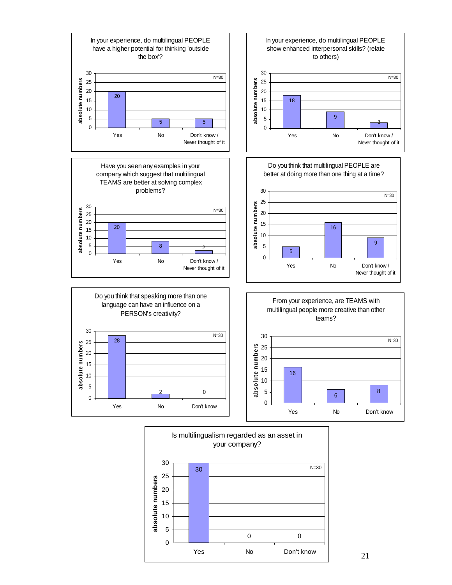



21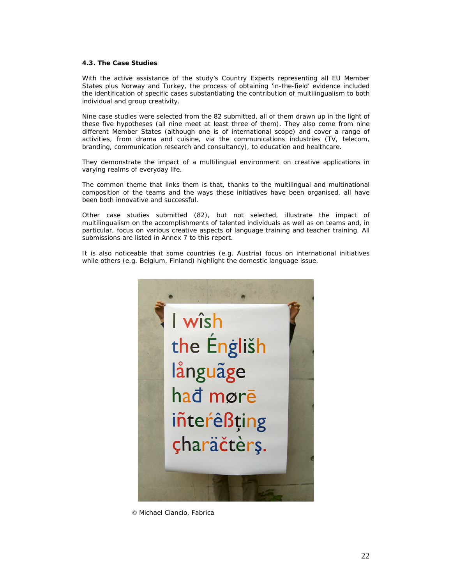# **4.3. The Case Studies**

With the active assistance of the study's Country Experts representing all EU Member States plus Norway and Turkey, the process of obtaining 'in-the-field' evidence included the identification of specific cases substantiating the contribution of multilingualism to both individual and group creativity.

Nine case studies were selected from the 82 submitted, all of them drawn up in the light of these five hypotheses (all nine meet at least three of them). They also come from nine different Member States (although one is of international scope) and cover a range of activities, from drama and cuisine, via the communications industries (TV, telecom, branding, communication research and consultancy), to education and healthcare.

They demonstrate the impact of a multilingual environment on creative applications in varying realms of everyday life.

The common theme that links them is that, thanks to the multilingual and multinational composition of the teams and the ways these initiatives have been organised, all have been both innovative and successful.

Other case studies submitted (82), but not selected, illustrate the impact of multilingualism on the accomplishments of talented individuals as well as on teams and, in particular, focus on various creative aspects of language training and teacher training. All submissions are listed in Annex 7 to this report.

It is also noticeable that some countries (e.g. Austria) focus on international initiatives while others (e.g. Belgium, Finland) highlight the domestic language issue.



*© Michael Ciancio, Fabrica*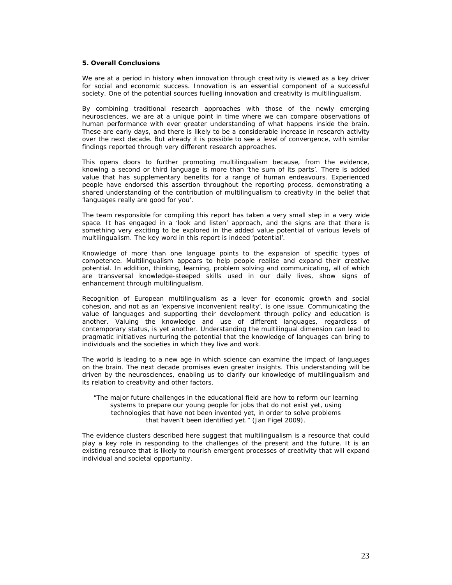#### **5. Overall Conclusions**

We are at a period in history when innovation through creativity is viewed as a key driver for social and economic success. Innovation is an essential component of a successful society. One of the potential sources fuelling innovation and creativity is multilingualism.

By combining traditional research approaches with those of the newly emerging neurosciences, we are at a unique point in time where we can compare observations of human performance with ever greater understanding of what happens inside the brain. These are early days, and there is likely to be a considerable increase in research activity over the next decade. But already it is possible to see a level of convergence, with similar findings reported through very different research approaches.

This opens doors to further promoting multilingualism because, from the evidence, knowing a second or third language is more than 'the sum of its parts'. There is added value that has supplementary benefits for a range of human endeavours. Experienced people have endorsed this assertion throughout the reporting process, demonstrating a shared understanding of the contribution of multilingualism to creativity in the belief that 'languages really are good for you'.

The team responsible for compiling this report has taken a very small step in a very wide space. It has engaged in a 'look and listen' approach, and the signs are that there is something very exciting to be explored in the added value potential of various levels of multilingualism. The key word in this report is indeed 'potential'.

Knowledge of more than one language points to the expansion of specific types of competence. Multilingualism appears to help people realise and expand their creative potential. In addition, thinking, learning, problem solving and communicating, all of which are transversal knowledge-steeped skills used in our daily lives, show signs of enhancement through multilingualism.

Recognition of European multilingualism as a lever for economic growth and social cohesion, and not as an 'expensive inconvenient reality', is one issue. Communicating the value of languages and supporting their development through policy and education is another. Valuing the knowledge and use of different languages, regardless of contemporary status, is yet another. Understanding the multilingual dimension can lead to pragmatic initiatives nurturing the potential that the knowledge of languages can bring to individuals and the societies in which they live and work.

The world is leading to a new age in which science can examine the impact of languages on the brain. The next decade promises even greater insights. This understanding will be driven by the neurosciences, enabling us to clarify our knowledge of multilingualism and its relation to creativity and other factors.

"The major future challenges in the educational field are how to reform our learning systems to prepare our young people for jobs that do not exist yet, using technologies that have not been invented yet, in order to solve problems that haven't been identified yet." (Jan Figel 2009).

The evidence clusters described here suggest that multilingualism is a resource that could play a key role in responding to the challenges of the present and the future. It is an existing resource that is likely to nourish emergent processes of creativity that will expand individual and societal opportunity.